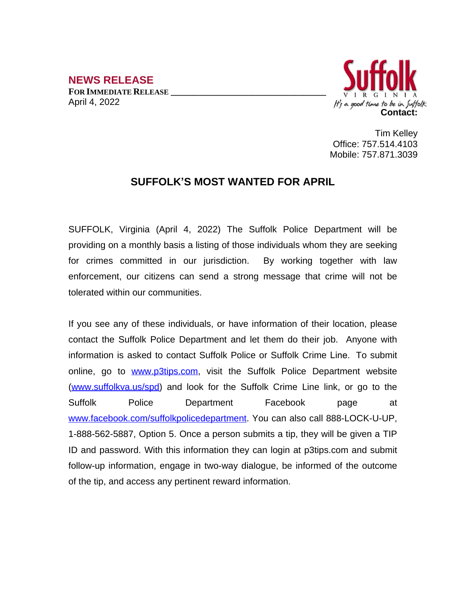**NEWS RELEASE FOR IMMEDIATE RELEASE \_\_\_\_\_\_\_\_\_\_\_\_\_\_\_\_\_\_\_\_\_\_\_\_\_\_\_\_\_\_\_\_\_\_** April 4, 2022



Tim Kelley Office: 757.514.4103 Mobile: 757.871.3039

## **SUFFOLK'S MOST WANTED FOR APRIL**

SUFFOLK, Virginia (April 4, 2022) The Suffolk Police Department will be providing on a monthly basis a listing of those individuals whom they are seeking for crimes committed in our jurisdiction. By working together with law enforcement, our citizens can send a strong message that crime will not be tolerated within our communities.

If you see any of these individuals, or have information of their location, please contact the Suffolk Police Department and let them do their job. Anyone with information is asked to contact Suffolk Police or Suffolk Crime Line. To submit online, go to [www.p3tips.com](http://www.p3tips.com), visit the Suffolk Police Department website ([www.suffolkva.us/spd](http://www.suffolkva.us/spd)) and look for the Suffolk Crime Line link, or go to the Suffolk Police Department Facebook page at [www.facebook.com/suffolkpolicedepartment](http://www.facebook.com/suffolkpolicedepartment). You can also call 888-LOCK-U-UP, 1-888-562-5887, Option 5. Once a person submits a tip, they will be given a TIP ID and password. With this information they can login at p3tips.com and submit follow-up information, engage in two-way dialogue, be informed of the outcome of the tip, and access any pertinent reward information.